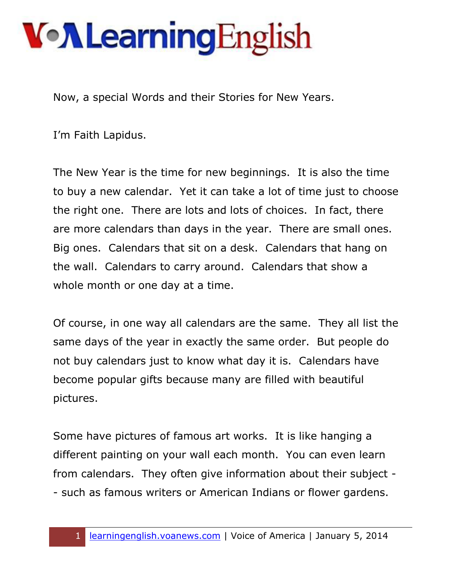## **Von Learning English**

Now, a special Words and their Stories for New Years.

I'm Faith Lapidus.

The New Year is the time for new beginnings. It is also the time to buy a new calendar. Yet it can take a lot of time just to choose the right one. There are lots and lots of choices. In fact, there are more calendars than days in the year. There are small ones. Big ones. Calendars that sit on a desk. Calendars that hang on the wall. Calendars to carry around. Calendars that show a whole month or one day at a time.

Of course, in one way all calendars are the same. They all list the same days of the year in exactly the same order. But people do not buy calendars just to know what day it is. Calendars have become popular gifts because many are filled with beautiful pictures.

Some have pictures of famous art works. It is like hanging a different painting on your wall each month. You can even learn from calendars. They often give information about their subject - - such as famous writers or American Indians or flower gardens.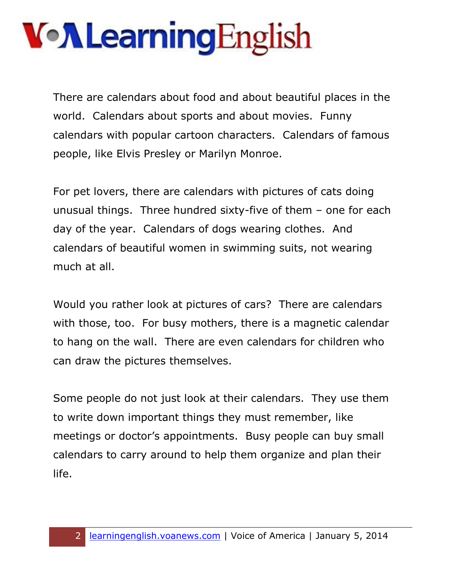## **Von Learning English**

There are calendars about food and about beautiful places in the world. Calendars about sports and about movies. Funny calendars with popular cartoon characters. Calendars of famous people, like Elvis Presley or Marilyn Monroe.

For pet lovers, there are calendars with pictures of cats doing unusual things. Three hundred sixty-five of them – one for each day of the year. Calendars of dogs wearing clothes. And calendars of beautiful women in swimming suits, not wearing much at all.

Would you rather look at pictures of cars? There are calendars with those, too. For busy mothers, there is a magnetic calendar to hang on the wall. There are even calendars for children who can draw the pictures themselves.

Some people do not just look at their calendars. They use them to write down important things they must remember, like meetings or doctor's appointments. Busy people can buy small calendars to carry around to help them organize and plan their life.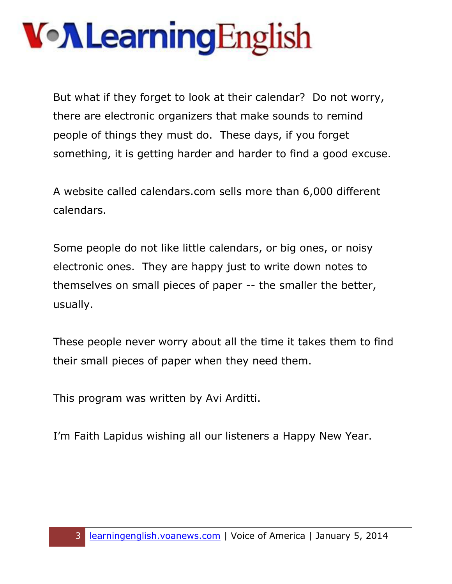## **Von Learning English**

But what if they forget to look at their calendar? Do not worry, there are electronic organizers that make sounds to remind people of things they must do. These days, if you forget something, it is getting harder and harder to find a good excuse.

A website called calendars.com sells more than 6,000 different calendars.

Some people do not like little calendars, or big ones, or noisy electronic ones. They are happy just to write down notes to themselves on small pieces of paper -- the smaller the better, usually.

These people never worry about all the time it takes them to find their small pieces of paper when they need them.

This program was written by Avi Arditti.

I'm Faith Lapidus wishing all our listeners a Happy New Year.